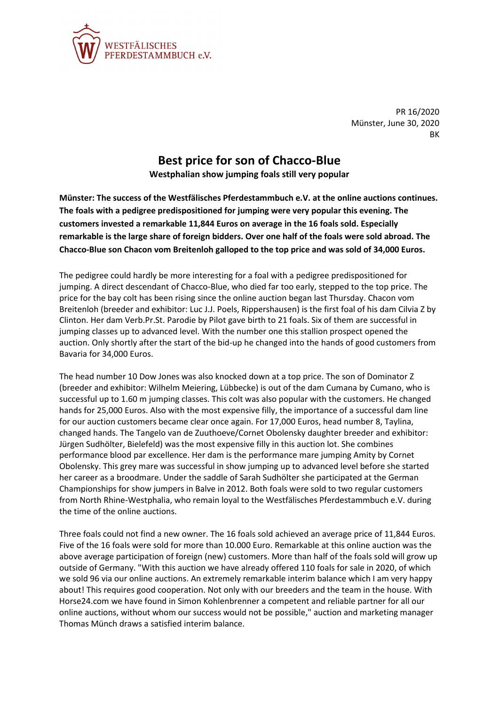

PR 16/2020 Münster, June 30, 2020 BK

## **Best price for son of Chacco-Blue**

**Westphalian show jumping foals still very popular**

**Münster: The success of the Westfälisches Pferdestammbuch e.V. at the online auctions continues. The foals with a pedigree predispositioned for jumping were very popular this evening. The customers invested a remarkable 11,844 Euros on average in the 16 foals sold. Especially remarkable is the large share of foreign bidders. Over one half of the foals were sold abroad. The Chacco-Blue son Chacon vom Breitenloh galloped to the top price and was sold of 34,000 Euros.**

The pedigree could hardly be more interesting for a foal with a pedigree predispositioned for jumping. A direct descendant of Chacco-Blue, who died far too early, stepped to the top price. The price for the bay colt has been rising since the online auction began last Thursday. Chacon vom Breitenloh (breeder and exhibitor: Luc J.J. Poels, Rippershausen) is the first foal of his dam Cilvia Z by Clinton. Her dam Verb.Pr.St. Parodie by Pilot gave birth to 21 foals. Six of them are successful in jumping classes up to advanced level. With the number one this stallion prospect opened the auction. Only shortly after the start of the bid-up he changed into the hands of good customers from Bavaria for 34,000 Euros.

The head number 10 Dow Jones was also knocked down at a top price. The son of Dominator Z (breeder and exhibitor: Wilhelm Meiering, Lübbecke) is out of the dam Cumana by Cumano, who is successful up to 1.60 m jumping classes. This colt was also popular with the customers. He changed hands for 25,000 Euros. Also with the most expensive filly, the importance of a successful dam line for our auction customers became clear once again. For 17,000 Euros, head number 8, Taylina, changed hands. The Tangelo van de Zuuthoeve/Cornet Obolensky daughter breeder and exhibitor: Jürgen Sudhölter, Bielefeld) was the most expensive filly in this auction lot. She combines performance blood par excellence. Her dam is the performance mare jumping Amity by Cornet Obolensky. This grey mare was successful in show jumping up to advanced level before she started her career as a broodmare. Under the saddle of Sarah Sudhölter she participated at the German Championships for show jumpers in Balve in 2012. Both foals were sold to two regular customers from North Rhine-Westphalia, who remain loyal to the Westfälisches Pferdestammbuch e.V. during the time of the online auctions.

Three foals could not find a new owner. The 16 foals sold achieved an average price of 11,844 Euros. Five of the 16 foals were sold for more than 10.000 Euro. Remarkable at this online auction was the above average participation of foreign (new) customers. More than half of the foals sold will grow up outside of Germany. "With this auction we have already offered 110 foals for sale in 2020, of which we sold 96 via our online auctions. An extremely remarkable interim balance which I am very happy about! This requires good cooperation. Not only with our breeders and the team in the house. With Horse24.com we have found in Simon Kohlenbrenner a competent and reliable partner for all our online auctions, without whom our success would not be possible," auction and marketing manager Thomas Münch draws a satisfied interim balance.